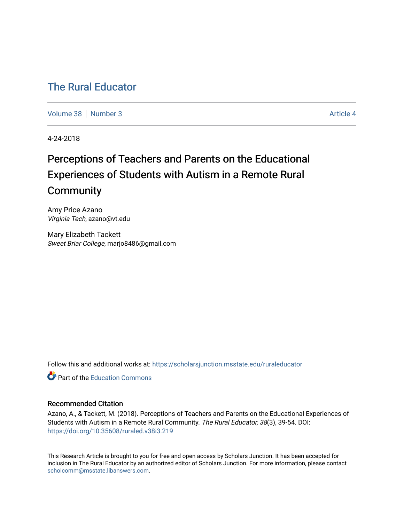# [The Rural Educator](https://scholarsjunction.msstate.edu/ruraleducator)

[Volume 38](https://scholarsjunction.msstate.edu/ruraleducator/vol38) [Number 3](https://scholarsjunction.msstate.edu/ruraleducator/vol38/iss3) Article 4

4-24-2018

# Perceptions of Teachers and Parents on the Educational Experiences of Students with Autism in a Remote Rural **Community**

Amy Price Azano Virginia Tech, azano@vt.edu

Mary Elizabeth Tackett Sweet Briar College, marjo8486@gmail.com

Follow this and additional works at: [https://scholarsjunction.msstate.edu/ruraleducator](https://scholarsjunction.msstate.edu/ruraleducator?utm_source=scholarsjunction.msstate.edu%2Fruraleducator%2Fvol38%2Fiss3%2F4&utm_medium=PDF&utm_campaign=PDFCoverPages)

**C** Part of the [Education Commons](http://network.bepress.com/hgg/discipline/784?utm_source=scholarsjunction.msstate.edu%2Fruraleducator%2Fvol38%2Fiss3%2F4&utm_medium=PDF&utm_campaign=PDFCoverPages)

# Recommended Citation

Azano, A., & Tackett, M. (2018). Perceptions of Teachers and Parents on the Educational Experiences of Students with Autism in a Remote Rural Community. The Rural Educator, 38(3), 39-54. DOI: <https://doi.org/10.35608/ruraled.v38i3.219>

This Research Article is brought to you for free and open access by Scholars Junction. It has been accepted for inclusion in The Rural Educator by an authorized editor of Scholars Junction. For more information, please contact [scholcomm@msstate.libanswers.com.](mailto:scholcomm@msstate.libanswers.com)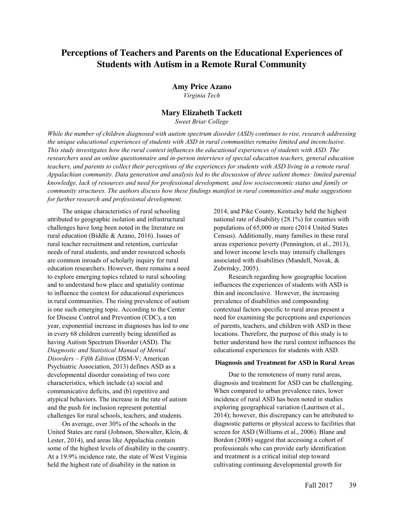# **Perceptions of Teachers and Parents on the Educational Experiences of Students with Autism in a Remote Rural Community**

#### **Amy Price Azano**

*Virginia Tech*

# **Mary Elizabeth Tackett**

*Sweet Briar College*

*While the number of children diagnosed with autism spectrum disorder (ASD) continues to rise, research addressing the unique educational experiences of students with ASD in rural communities remains limited and inconclusive. This study investigates how the rural context influences the educational experiences of students with ASD. The researchers used an online questionnaire and in-person interviews of special education teachers, general education teachers, and parents to collect their perceptions of the experiences for students with ASD living in a remote rural Appalachian community. Data generation and analysis led to the discussion of three salient themes: limited parental knowledge, lack of resources and need for professional development, and low socioeconomic status and family or community structures. The authors discuss how these findings manifest in rural communities and make suggestions for further research and professional development.*

The unique characteristics of rural schooling attributed to geographic isolation and infrastructural challenges have long been noted in the literature on rural education (Biddle & Azano, 2016). Issues of rural teacher recruitment and retention, curricular needs of rural students, and under resourced schools are common inroads of scholarly inquiry for rural education researchers. However, there remains a need to explore emerging topics related to rural schooling and to understand how place and spatiality continue to influence the context for educational experiences in rural communities. The rising prevalence of autism is one such emerging topic. According to the Center for Disease Control and Prevention (CDC), a ten year, exponential increase in diagnoses has led to one in every 68 children currently being identified as having Autism Spectrum Disorder (ASD). The *Diagnostic and Statistical Manual of Mental Disorders – Fifth Edition* (DSM-V; American Psychiatric Association, 2013) defines ASD as a developmental disorder consisting of two core characteristics, which include (a) social and communicative deficits, and (b) repetitive and atypical behaviors. The increase in the rate of autism and the push for inclusion represent potential challenges for rural schools, teachers, and students.

On average, over 30% of the schools in the United States are rural (Johnson, Showalter, Klein, & Lester, 2014), and areas like Appalachia contain some of the highest levels of disability in the country. At a 19.9% incidence rate, the state of West Virginia held the highest rate of disability in the nation in

2014, and Pike County, Kentucky held the highest national rate of disability (28.1%) for counties with populations of 65,000 or more (2014 United States Census). Additionally, many families in these rural areas experience poverty (Pennington, et al., 2013), and lower income levels may intensify challenges associated with disabilities (Mandell, Novak, & Zubritsky, 2005).

Research regarding how geographic location influences the experiences of students with ASD is thin and inconclusive. However, the increasing prevalence of disabilities and compounding contextual factors specific to rural areas present a need for examining the perceptions and experiences of parents, teachers, and children with ASD in these locations. Therefore, the purpose of this study is to better understand how the rural context influences the educational experiences for students with ASD.

#### **Diagnosis and Treatment for ASD in Rural Areas**

Due to the remoteness of many rural areas, diagnosis and treatment for ASD can be challenging. When compared to urban prevalence rates, lower incidence of rural ASD has been noted in studies exploring geographical variation (Lauritsen et al., 2014); however, this discrepancy can be attributed to diagnostic patterns or physical access to facilities that screen for ASD (Williams et al., 2006). Blane and Bordon (2008) suggest that accessing a cohort of professionals who can provide early identification and treatment is a critical initial step toward cultivating continuing developmental growth for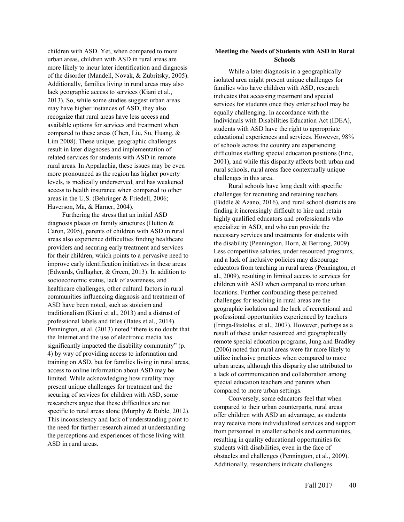children with ASD. Yet, when compared to more urban areas, children with ASD in rural areas are more likely to incur later identification and diagnosis of the disorder (Mandell, Novak, & Zubritsky, 2005). Additionally, families living in rural areas may also lack geographic access to services (Kiani et al., 2013). So, while some studies suggest urban areas may have higher instances of ASD, they also recognize that rural areas have less access and available options for services and treatment when compared to these areas (Chen, Liu, Su, Huang, & Lim 2008). These unique, geographic challenges result in later diagnoses and implementation of related services for students with ASD in remote rural areas. In Appalachia, these issues may be even more pronounced as the region has higher poverty levels, is medically underserved, and has weakened access to health insurance when compared to other areas in the U.S. (Behringer & Friedell, 2006; Haverson, Ma, & Harner, 2004).

Furthering the stress that an initial ASD diagnosis places on family structures (Hutton & Caron, 2005), parents of children with ASD in rural areas also experience difficulties finding healthcare providers and securing early treatment and services for their children, which points to a pervasive need to improve early identification initiatives in these areas (Edwards, Gallagher, & Green, 2013). In addition to socioeconomic status, lack of awareness, and healthcare challenges, other cultural factors in rural communities influencing diagnosis and treatment of ASD have been noted, such as stoicism and traditionalism (Kiani et al., 2013) and a distrust of professional labels and titles (Bates et al., 2014). Pennington, et al. (2013) noted "there is no doubt that the Internet and the use of electronic media has significantly impacted the disability community" (p. 4) by way of providing access to information and training on ASD, but for families living in rural areas, access to online information about ASD may be limited. While acknowledging how rurality may present unique challenges for treatment and the securing of services for children with ASD, some researchers argue that these difficulties are not specific to rural areas alone (Murphy & Ruble, 2012). This inconsistency and lack of understanding point to the need for further research aimed at understanding the perceptions and experiences of those living with ASD in rural areas.

# **Meeting the Needs of Students with ASD in Rural Schools**

While a later diagnosis in a geographically isolated area might present unique challenges for families who have children with ASD, research indicates that accessing treatment and special services for students once they enter school may be equally challenging. In accordance with the Individuals with Disabilities Education Act (IDEA), students with ASD have the right to appropriate educational experiences and services. However, 98% of schools across the country are experiencing difficulties staffing special education positions (Eric, 2001), and while this disparity affects both urban and rural schools, rural areas face contextually unique challenges in this area.

Rural schools have long dealt with specific challenges for recruiting and retaining teachers (Biddle & Azano, 2016), and rural school districts are finding it increasingly difficult to hire and retain highly qualified educators and professionals who specialize in ASD, and who can provide the necessary services and treatments for students with the disability (Pennington, Horn, & Berrong, 2009). Less competitive salaries, under resourced programs, and a lack of inclusive policies may discourage educators from teaching in rural areas (Pennington, et al., 2009), resulting in limited access to services for children with ASD when compared to more urban locations. Further confounding these perceived challenges for teaching in rural areas are the geographic isolation and the lack of recreational and professional opportunities experienced by teachers (Iringa-Bistolas, et al., 2007). However, perhaps as a result of these under resourced and geographically remote special education programs, Jung and Bradley (2006) noted that rural areas were far more likely to utilize inclusive practices when compared to more urban areas, although this disparity also attributed to a lack of communication and collaboration among special education teachers and parents when compared to more urban settings.

Conversely, some educators feel that when compared to their urban counterparts, rural areas offer children with ASD an advantage, as students may receive more individualized services and support from personnel in smaller schools and communities, resulting in quality educational opportunities for students with disabilities, even in the face of obstacles and challenges (Pennington, et al., 2009). Additionally, researchers indicate challenges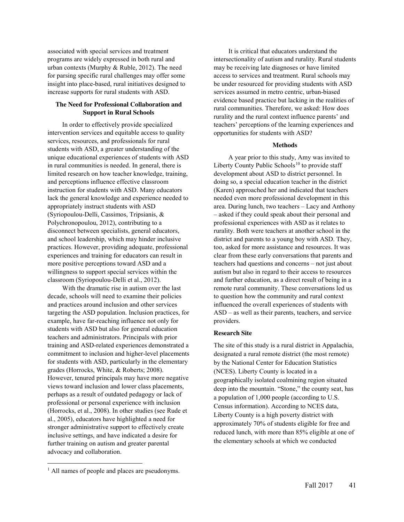associated with special services and treatment programs are widely expressed in both rural and urban contexts (Murphy & Ruble, 2012). The need for parsing specific rural challenges may offer some insight into place-based, rural initiatives designed to increase supports for rural students with ASD.

# **The Need for Professional Collaboration and Support in Rural Schools**

In order to effectively provide specialized intervention services and equitable access to quality services, resources, and professionals for rural students with ASD, a greater understanding of the unique educational experiences of students with ASD in rural communities is needed. In general, there is limited research on how teacher knowledge, training, and perceptions influence effective classroom instruction for students with ASD. Many educators lack the general knowledge and experience needed to appropriately instruct students with ASD (Syriopoulou-Delli, Cassimos, Tripsianis, & Polychronopoulou, 2012), contributing to a disconnect between specialists, general educators, and school leadership, which may hinder inclusive practices. However, providing adequate, professional experiences and training for educators can result in more positive perceptions toward ASD and a willingness to support special services within the classroom (Syriopoulou-Delli et al., 2012).

With the dramatic rise in autism over the last decade, schools will need to examine their policies and practices around inclusion and other services targeting the ASD population. Inclusion practices, for example, have far-reaching influence not only for students with ASD but also for general education teachers and administrators. Principals with prior training and ASD-related experiences demonstrated a commitment to inclusion and higher-level placements for students with ASD, particularly in the elementary grades (Horrocks, White, & Roberts; 2008). However, tenured principals may have more negative views toward inclusion and lower class placements, perhaps as a result of outdated pedagogy or lack of professional or personal experience with inclusion (Horrocks, et al., 2008). In other studies (see Rude et al., 2005), educators have highlighted a need for stronger administrative support to effectively create inclusive settings, and have indicated a desire for further training on autism and greater parental advocacy and collaboration.

It is critical that educators understand the intersectionality of autism and rurality. Rural students may be receiving late diagnoses or have limited access to services and treatment. Rural schools may be under resourced for providing students with ASD services assumed in metro centric, urban-biased evidence based practice but lacking in the realities of rural communities. Therefore, we asked: How does rurality and the rural context influence parents' and teachers' perceptions of the learning experiences and opportunities for students with ASD?

# **Methods**

A year prior to this study, Amy was invited to Liberty County Public Schools<sup>10</sup> to provide staff development about ASD to district personnel. In doing so, a special education teacher in the district (Karen) approached her and indicated that teachers needed even more professional development in this area. During lunch, two teachers – Lacy and Anthony – asked if they could speak about their personal and professional experiences with ASD as it relates to rurality. Both were teachers at another school in the district and parents to a young boy with ASD. They, too, asked for more assistance and resources. It was clear from these early conversations that parents and teachers had questions and concerns – not just about autism but also in regard to their access to resources and further education, as a direct result of being in a remote rural community. These conversations led us to question how the community and rural context influenced the overall experiences of students with ASD – as well as their parents, teachers, and service providers.

# **Research Site**

The site of this study is a rural district in Appalachia, designated a rural remote district (the most remote) by the National Center for Education Statistics (NCES). Liberty County is located in a geographically isolated coalmining region situated deep into the mountain. "Stone," the county seat, has a population of 1,000 people (according to U.S. Census information). According to NCES data, Liberty County is a high poverty district with approximately 70% of students eligible for free and reduced lunch, with more than 85% eligible at one of the elementary schools at which we conducted

l

<sup>&</sup>lt;sup>1</sup> All names of people and places are pseudonyms.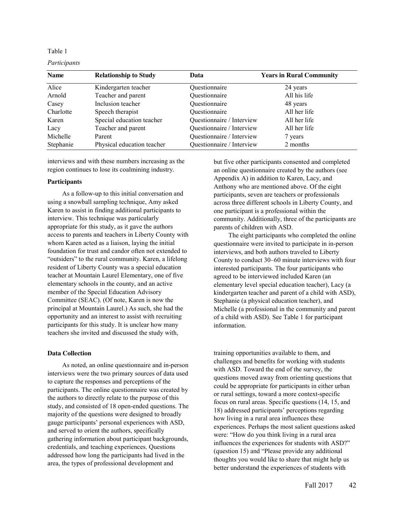#### *Participants*

| <b>Name</b> | <b>Relationship to Study</b> | Data                      | <b>Years in Rural Community</b> |
|-------------|------------------------------|---------------------------|---------------------------------|
| Alice       | Kindergarten teacher         | Questionnaire             | 24 years                        |
| Arnold      | Teacher and parent           | Questionnaire             | All his life                    |
| Casey       | Inclusion teacher            | Questionnaire             | 48 years                        |
| Charlotte   | Speech therapist             | Questionnaire             | All her life                    |
| Karen       | Special education teacher    | Questionnaire / Interview | All her life                    |
| Lacy        | Teacher and parent           | Questionnaire / Interview | All her life                    |
| Michelle    | Parent                       | Questionnaire / Interview | 7 years                         |
| Stephanie   | Physical education teacher   | Questionnaire / Interview | 2 months                        |

interviews and with these numbers increasing as the region continues to lose its coalmining industry.

#### **Participants**

As a follow-up to this initial conversation and using a snowball sampling technique, Amy asked Karen to assist in finding additional participants to interview. This technique was particularly appropriate for this study, as it gave the authors access to parents and teachers in Liberty County with whom Karen acted as a liaison, laying the initial foundation for trust and candor often not extended to "outsiders" to the rural community. Karen, a lifelong resident of Liberty County was a special education teacher at Mountain Laurel Elementary, one of five elementary schools in the county, and an active member of the Special Education Advisory Committee (SEAC). (Of note, Karen is now the principal at Mountain Laurel.) As such, she had the opportunity and an interest to assist with recruiting participants for this study. It is unclear how many teachers she invited and discussed the study with,

#### **Data Collection**

As noted, an online questionnaire and in-person interviews were the two primary sources of data used to capture the responses and perceptions of the participants. The online questionnaire was created by the authors to directly relate to the purpose of this study, and consisted of 18 open-ended questions. The majority of the questions were designed to broadly gauge participants' personal experiences with ASD, and served to orient the authors, specifically gathering information about participant backgrounds, credentials, and teaching experiences. Questions addressed how long the participants had lived in the area, the types of professional development and

but five other participants consented and completed an online questionnaire created by the authors (see Appendix A) in addition to Karen, Lacy, and Anthony who are mentioned above. Of the eight participants, seven are teachers or professionals across three different schools in Liberty County, and one participant is a professional within the community. Additionally, three of the participants are parents of children with ASD.

The eight participants who completed the online questionnaire were invited to participate in in-person interviews, and both authors traveled to Liberty County to conduct 30–60 minute interviews with four interested participants. The four participants who agreed to be interviewed included Karen (an elementary level special education teacher), Lacy (a kindergarten teacher and parent of a child with ASD), Stephanie (a physical education teacher), and Michelle (a professional in the community and parent of a child with ASD). See Table 1 for participant information.

training opportunities available to them, and challenges and benefits for working with students with ASD. Toward the end of the survey, the questions moved away from orienting questions that could be appropriate for participants in either urban or rural settings, toward a more context-specific focus on rural areas. Specific questions (14, 15, and 18) addressed participants' perceptions regarding how living in a rural area influences these experiences. Perhaps the most salient questions asked were: "How do you think living in a rural area influences the experiences for students with ASD?" (question 15) and "Please provide any additional thoughts you would like to share that might help us better understand the experiences of students with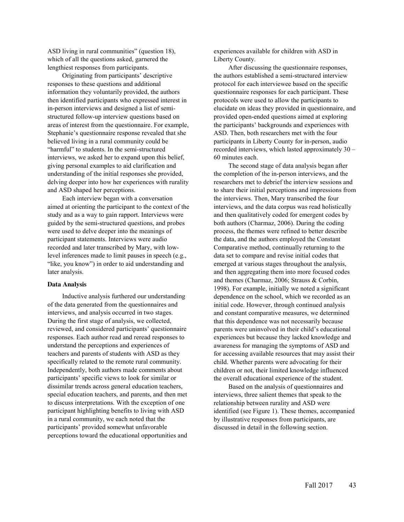ASD living in rural communities" (question 18), which of all the questions asked, garnered the lengthiest responses from participants.

Originating from participants' descriptive responses to these questions and additional information they voluntarily provided, the authors then identified participants who expressed interest in in-person interviews and designed a list of semistructured follow-up interview questions based on areas of interest from the questionnaire. For example, Stephanie's questionnaire response revealed that she believed living in a rural community could be "harmful" to students. In the semi-structured interviews, we asked her to expand upon this belief, giving personal examples to aid clarification and understanding of the initial responses she provided, delving deeper into how her experiences with rurality and ASD shaped her perceptions.

Each interview began with a conversation aimed at orienting the participant to the context of the study and as a way to gain rapport. Interviews were guided by the semi-structured questions, and probes were used to delve deeper into the meanings of participant statements. Interviews were audio recorded and later transcribed by Mary, with lowlevel inferences made to limit pauses in speech (e.g., "like, you know") in order to aid understanding and later analysis.

#### **Data Analysis**

Inductive analysis furthered our understanding of the data generated from the questionnaires and interviews, and analysis occurred in two stages. During the first stage of analysis, we collected, reviewed, and considered participants' questionnaire responses. Each author read and reread responses to understand the perceptions and experiences of teachers and parents of students with ASD as they specifically related to the remote rural community. Independently, both authors made comments about participants' specific views to look for similar or dissimilar trends across general education teachers, special education teachers, and parents, and then met to discuss interpretations. With the exception of one participant highlighting benefits to living with ASD in a rural community, we each noted that the participants' provided somewhat unfavorable perceptions toward the educational opportunities and experiences available for children with ASD in Liberty County.

After discussing the questionnaire responses, the authors established a semi-structured interview protocol for each interviewee based on the specific questionnaire responses for each participant. These protocols were used to allow the participants to elucidate on ideas they provided in questionnaire, and provided open-ended questions aimed at exploring the participants' backgrounds and experiences with ASD. Then, both researchers met with the four participants in Liberty County for in-person, audio recorded interviews, which lasted approximately 30 – 60 minutes each.

The second stage of data analysis began after the completion of the in-person interviews, and the researchers met to debrief the interview sessions and to share their initial perceptions and impressions from the interviews. Then, Mary transcribed the four interviews, and the data corpus was read holistically and then qualitatively coded for emergent codes by both authors (Charmaz, 2006). During the coding process, the themes were refined to better describe the data, and the authors employed the Constant Comparative method, continually returning to the data set to compare and revise initial codes that emerged at various stages throughout the analysis, and then aggregating them into more focused codes and themes (Charmaz, 2006; Strauss & Corbin, 1998). For example, initially we noted a significant dependence on the school, which we recorded as an initial code. However, through continued analysis and constant comparative measures, we determined that this dependence was not necessarily because parents were uninvolved in their child's educational experiences but because they lacked knowledge and awareness for managing the symptoms of ASD and for accessing available resources that may assist their child. Whether parents were advocating for their children or not, their limited knowledge influenced the overall educational experience of the student.

Based on the analysis of questionnaires and interviews, three salient themes that speak to the relationship between rurality and ASD were identified (see Figure 1). These themes, accompanied by illustrative responses from participants, are discussed in detail in the following section.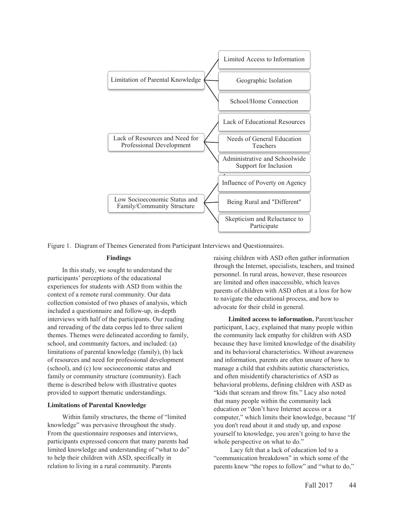

Figure 1. Diagram of Themes Generated from Participant Interviews and Questionnaires.

#### **Findings**

In this study, we sought to understand the participants' perceptions of the educational experiences for students with ASD from within the context of a remote rural community. Our data collection consisted of two phases of analysis, which included a questionnaire and follow-up, in-depth interviews with half of the participants. Our reading and rereading of the data corpus led to three salient themes. Themes were delineated according to family, school, and community factors, and included: (a) limitations of parental knowledge (family), (b) lack of resources and need for professional development (school), and (c) low socioeconomic status and family or community structure (community). Each theme is described below with illustrative quotes provided to support thematic understandings.

#### **Limitations of Parental Knowledge**

Within family structures, the theme of "limited knowledge" was pervasive throughout the study. From the questionnaire responses and interviews, participants expressed concern that many parents had limited knowledge and understanding of "what to do" to help their children with ASD, specifically in relation to living in a rural community. Parents

raising children with ASD often gather information through the Internet, specialists, teachers, and trained personnel. In rural areas, however, these resources are limited and often inaccessible, which leaves parents of children with ASD often at a loss for how to navigate the educational process, and how to advocate for their child in general.

**Limited access to information.** Parent/teacher participant, Lacy, explained that many people within the community lack empathy for children with ASD because they have limited knowledge of the disability and its behavioral characteristics. Without awareness and information, parents are often unsure of how to manage a child that exhibits autistic characteristics, and often misidentify characteristics of ASD as behavioral problems, defining children with ASD as "kids that scream and throw fits." Lacy also noted that many people within the community lack education or "don't have Internet access or a computer," which limits their knowledge, because "If you don't read about it and study up, and expose yourself to knowledge, you aren't going to have the whole perspective on what to do."

Lacy felt that a lack of education led to a "communication breakdown" in which some of the parents knew "the ropes to follow" and "what to do,"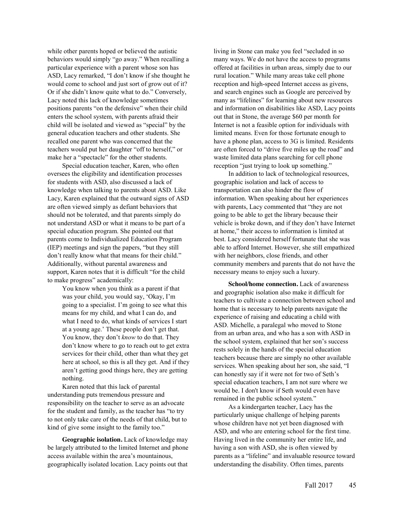while other parents hoped or believed the autistic behaviors would simply "go away." When recalling a particular experience with a parent whose son has ASD, Lacy remarked, "I don't know if she thought he would come to school and just sort of grow out of it? Or if she didn't know quite what to do." Conversely, Lacy noted this lack of knowledge sometimes positions parents "on the defensive" when their child enters the school system, with parents afraid their child will be isolated and viewed as "special" by the general education teachers and other students. She recalled one parent who was concerned that the teachers would put her daughter "off to herself," or make her a "spectacle" for the other students.

Special education teacher, Karen, who often oversees the eligibility and identification processes for students with ASD, also discussed a lack of knowledge when talking to parents about ASD. Like Lacy, Karen explained that the outward signs of ASD are often viewed simply as defiant behaviors that should not be tolerated, and that parents simply do not understand ASD or what it means to be part of a special education program. She pointed out that parents come to Individualized Education Program (IEP) meetings and sign the papers, "but they still don't really know what that means for their child." Additionally, without parental awareness and support, Karen notes that it is difficult "for the child to make progress" academically:

> You know when you think as a parent if that was your child, you would say, 'Okay, I'm going to a specialist. I'm going to see what this means for my child, and what I can do, and what I need to do, what kinds of services I start at a young age.' These people don't get that. You know, they don't *know* to do that. They don't know where to go to reach out to get extra services for their child, other than what they get here at school, so this is all they get. And if they aren't getting good things here, they are getting nothing.

Karen noted that this lack of parental understanding puts tremendous pressure and responsibility on the teacher to serve as an advocate for the student and family, as the teacher has "to try to not only take care of the needs of that child, but to kind of give some insight to the family too."

**Geographic isolation.** Lack of knowledge may be largely attributed to the limited Internet and phone access available within the area's mountainous, geographically isolated location. Lacy points out that

living in Stone can make you feel "secluded in so many ways. We do not have the access to programs offered at facilities in urban areas, simply due to our rural location." While many areas take cell phone reception and high-speed Internet access as givens, and search engines such as Google are perceived by many as "lifelines" for learning about new resources and information on disabilities like ASD, Lacy points out that in Stone, the average \$60 per month for Internet is not a feasible option for individuals with limited means. Even for those fortunate enough to have a phone plan, access to 3G is limited. Residents are often forced to "drive five miles up the road" and waste limited data plans searching for cell phone reception "just trying to look up something."

In addition to lack of technological resources, geographic isolation and lack of access to transportation can also hinder the flow of information. When speaking about her experiences with parents, Lacy commented that "they are not going to be able to get the library because their vehicle is broke down, and if they don't have Internet at home," their access to information is limited at best. Lacy considered herself fortunate that she was able to afford Internet. However, she still empathized with her neighbors, close friends, and other community members and parents that do not have the necessary means to enjoy such a luxury.

**School/home connection.** Lack of awareness and geographic isolation also make it difficult for teachers to cultivate a connection between school and home that is necessary to help parents navigate the experience of raising and educating a child with ASD. Michelle, a paralegal who moved to Stone from an urban area, and who has a son with ASD in the school system, explained that her son's success rests solely in the hands of the special education teachers because there are simply no other available services. When speaking about her son, she said, "I can honestly say if it were not for two of Seth's special education teachers, I am not sure where we would be. I don't know if Seth would even have remained in the public school system."

As a kindergarten teacher, Lacy has the particularly unique challenge of helping parents whose children have not yet been diagnosed with ASD, and who are entering school for the first time. Having lived in the community her entire life, and having a son with ASD, she is often viewed by parents as a "lifeline" and invaluable resource toward understanding the disability. Often times, parents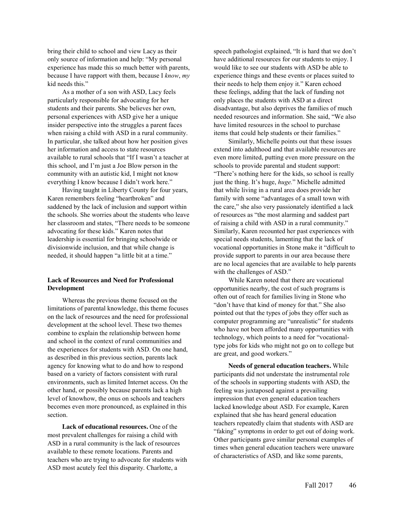bring their child to school and view Lacy as their only source of information and help: "My personal experience has made this so much better with parents, because I have rapport with them, because I *know*, *my* kid needs this."

As a mother of a son with ASD, Lacy feels particularly responsible for advocating for her students and their parents. She believes her own, personal experiences with ASD give her a unique insider perspective into the struggles a parent faces when raising a child with ASD in a rural community. In particular, she talked about how her position gives her information and access to state resources available to rural schools that "If I wasn't a teacher at this school, and I'm just a Joe Blow person in the community with an autistic kid, I might not know everything I know because I didn't work here."

Having taught in Liberty County for four years, Karen remembers feeling "heartbroken" and saddened by the lack of inclusion and support within the schools. She worries about the students who leave her classroom and states, "There needs to be someone advocating for these kids." Karen notes that leadership is essential for bringing schoolwide or divisionwide inclusion, and that while change is needed, it should happen "a little bit at a time."

# **Lack of Resources and Need for Professional Development**

Whereas the previous theme focused on the limitations of parental knowledge, this theme focuses on the lack of resources and the need for professional development at the school level. These two themes combine to explain the relationship between home and school in the context of rural communities and the experiences for students with ASD. On one hand, as described in this previous section, parents lack agency for knowing what to do and how to respond based on a variety of factors consistent with rural environments, such as limited Internet access. On the other hand, or possibly because parents lack a high level of knowhow, the onus on schools and teachers becomes even more pronounced, as explained in this section.

**Lack of educational resources.** One of the most prevalent challenges for raising a child with ASD in a rural community is the lack of resources available to these remote locations. Parents and teachers who are trying to advocate for students with ASD most acutely feel this disparity. Charlotte, a

speech pathologist explained, "It is hard that we don't have additional resources for our students to enjoy. I would like to see our students with ASD be able to experience things and these events or places suited to their needs to help them enjoy it." Karen echoed these feelings, adding that the lack of funding not only places the students with ASD at a direct disadvantage, but also deprives the families of much needed resources and information. She said, "We also have limited resources in the school to purchase items that could help students or their families."

Similarly, Michelle points out that these issues extend into adulthood and that available resources are even more limited, putting even more pressure on the schools to provide parental and student support: "There's nothing here for the kids, so school is really just the thing. It's huge, *huge.*" Michelle admitted that while living in a rural area does provide her family with some "advantages of a small town with the care," she also very passionately identified a lack of resources as "the most alarming and saddest part of raising a child with ASD in a rural community." Similarly, Karen recounted her past experiences with special needs students, lamenting that the lack of vocational opportunities in Stone make it "difficult to provide support to parents in our area because there are no local agencies that are available to help parents with the challenges of ASD."

While Karen noted that there are vocational opportunities nearby, the cost of such programs is often out of reach for families living in Stone who "don't have that kind of money for that." She also pointed out that the types of jobs they offer such as computer programming are "unrealistic" for students who have not been afforded many opportunities with technology, which points to a need for "vocationaltype jobs for kids who might not go on to college but are great, and good workers."

**Needs of general education teachers.** While participants did not understate the instrumental role of the schools in supporting students with ASD, the feeling was juxtaposed against a prevailing impression that even general education teachers lacked knowledge about ASD. For example, Karen explained that she has heard general education teachers repeatedly claim that students with ASD are "faking" symptoms in order to get out of doing work. Other participants gave similar personal examples of times when general education teachers were unaware of characteristics of ASD, and like some parents,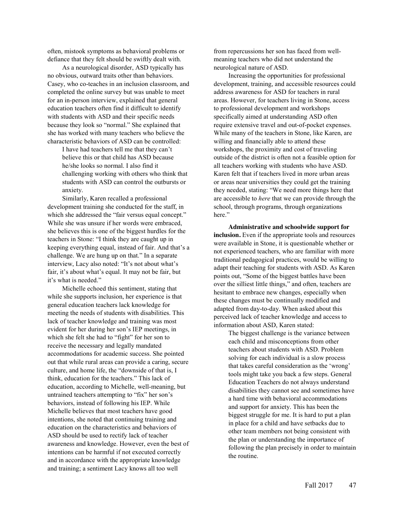often, mistook symptoms as behavioral problems or defiance that they felt should be swiftly dealt with.

As a neurological disorder, ASD typically has no obvious, outward traits other than behaviors. Casey, who co-teaches in an inclusion classroom, and completed the online survey but was unable to meet for an in-person interview, explained that general education teachers often find it difficult to identify with students with ASD and their specific needs because they look so "normal." She explained that she has worked with many teachers who believe the characteristic behaviors of ASD can be controlled:

I have had teachers tell me that they can't believe this or that child has ASD because he/she looks so normal. I also find it challenging working with others who think that students with ASD can control the outbursts or anxiety.

Similarly, Karen recalled a professional development training she conducted for the staff, in which she addressed the "fair versus equal concept." While she was unsure if her words were embraced, she believes this is one of the biggest hurdles for the teachers in Stone: "I think they are caught up in keeping everything equal, instead of fair. And that's a challenge. We are hung up on that." In a separate interview, Lacy also noted: "It's not about what's fair, it's about what's equal. It may not be fair, but it's what is needed."

Michelle echoed this sentiment, stating that while she supports inclusion, her experience is that general education teachers lack knowledge for meeting the needs of students with disabilities. This lack of teacher knowledge and training was most evident for her during her son's IEP meetings, in which she felt she had to "fight" for her son to receive the necessary and legally mandated accommodations for academic success. She pointed out that while rural areas can provide a caring, secure culture, and home life, the "downside of that is, I think, education for the teachers." This lack of education, according to Michelle, well-meaning, but untrained teachers attempting to "fix" her son's behaviors, instead of following his IEP. While Michelle believes that most teachers have good intentions, she noted that continuing training and education on the characteristics and behaviors of ASD should be used to rectify lack of teacher awareness and knowledge. However, even the best of intentions can be harmful if not executed correctly and in accordance with the appropriate knowledge and training; a sentiment Lacy knows all too well

from repercussions her son has faced from wellmeaning teachers who did not understand the neurological nature of ASD.

Increasing the opportunities for professional development, training, and accessible resources could address awareness for ASD for teachers in rural areas. However, for teachers living in Stone, access to professional development and workshops specifically aimed at understanding ASD often require extensive travel and out-of-pocket expenses. While many of the teachers in Stone, like Karen, are willing and financially able to attend these workshops, the proximity and cost of traveling outside of the district is often not a feasible option for all teachers working with students who have ASD. Karen felt that if teachers lived in more urban areas or areas near universities they could get the training they needed, stating: "We need more things here that are accessible to *here* that we can provide through the school, through programs, through organizations here."

**Administrative and schoolwide support for inclusion.** Even if the appropriate tools and resources were available in Stone, it is questionable whether or not experienced teachers, who are familiar with more traditional pedagogical practices, would be willing to adapt their teaching for students with ASD. As Karen points out, "Some of the biggest battles have been over the silliest little things," and often, teachers are hesitant to embrace new changes, especially when these changes must be continually modified and adapted from day-to-day. When asked about this perceived lack of teacher knowledge and access to information about ASD, Karen stated:

The biggest challenge is the variance between each child and misconceptions from other teachers about students with ASD. Problem solving for each individual is a slow process that takes careful consideration as the 'wrong' tools might take you back a few steps. General Education Teachers do not always understand disabilities they cannot see and sometimes have a hard time with behavioral accommodations and support for anxiety. This has been the biggest struggle for me. It is hard to put a plan in place for a child and have setbacks due to other team members not being consistent with the plan or understanding the importance of following the plan precisely in order to maintain the routine.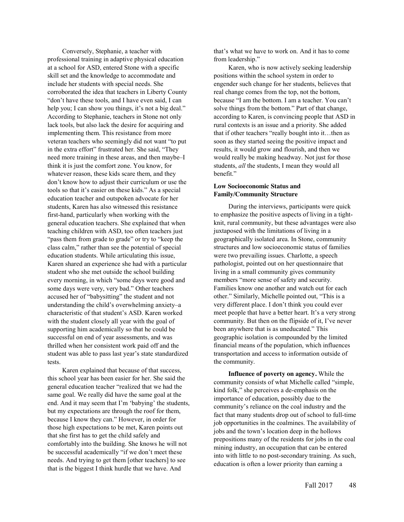Conversely, Stephanie, a teacher with professional training in adaptive physical education at a school for ASD, entered Stone with a specific skill set and the knowledge to accommodate and include her students with special needs. She corroborated the idea that teachers in Liberty County "don't have these tools, and I have even said, I can help you; I can show you things, it's not a big deal." According to Stephanie, teachers in Stone not only lack tools, but also lack the desire for acquiring and implementing them. This resistance from more veteran teachers who seemingly did not want "to put in the extra effort" frustrated her. She said, "They need more training in these areas, and then maybe–I think it is just the comfort zone. You know, for whatever reason, these kids scare them, and they don't know how to adjust their curriculum or use the tools so that it's easier on these kids." As a special education teacher and outspoken advocate for her students, Karen has also witnessed this resistance first-hand, particularly when working with the general education teachers. She explained that when teaching children with ASD, too often teachers just "pass them from grade to grade" or try to "keep the class calm," rather than see the potential of special education students. While articulating this issue, Karen shared an experience she had with a particular student who she met outside the school building every morning, in which "some days were good and some days were very, very bad." Other teachers accused her of "babysitting" the student and not understanding the child's overwhelming anxiety–a characteristic of that student's ASD. Karen worked with the student closely all year with the goal of supporting him academically so that he could be successful on end of year assessments, and was thrilled when her consistent work paid off and the student was able to pass last year's state standardized tests.

Karen explained that because of that success, this school year has been easier for her. She said the general education teacher "realized that we had the same goal. We really did have the same goal at the end. And it may seem that I'm 'babying' the students, but my expectations are through the roof for them, because I know they can." However, in order for those high expectations to be met, Karen points out that she first has to get the child safely and comfortably into the building. She knows he will not be successful academically "if we don't meet these needs. And trying to get them [other teachers] to see that is the biggest I think hurdle that we have. And

that's what we have to work on. And it has to come from leadership."

Karen, who is now actively seeking leadership positions within the school system in order to engender such change for her students, believes that real change comes from the top, not the bottom, because "I am the bottom. I am a teacher. You can't solve things from the bottom." Part of that change, according to Karen, is convincing people that ASD in rural contexts is an issue and a priority. She added that if other teachers "really bought into it…then as soon as they started seeing the positive impact and results, it would grow and flourish, and then we would really be making headway. Not just for those students, *all* the students, I mean they would all benefit."

## **Low Socioeconomic Status and Family/Community Structure**

During the interviews, participants were quick to emphasize the positive aspects of living in a tightknit, rural community, but these advantages were also juxtaposed with the limitations of living in a geographically isolated area. In Stone, community structures and low socioeconomic status of families were two prevailing issues. Charlotte, a speech pathologist, pointed out on her questionnaire that living in a small community gives community members "more sense of safety and security. Families know one another and watch out for each other." Similarly, Michelle pointed out, "This is a very different place. I don't think you could ever meet people that have a better heart. It's a very strong community. But then on the flipside of it, I've never been anywhere that is as uneducated." This geographic isolation is compounded by the limited financial means of the population, which influences transportation and access to information outside of the community.

**Influence of poverty on agency.** While the community consists of what Michelle called "simple, kind folk," she perceives a de-emphasis on the importance of education, possibly due to the community's reliance on the coal industry and the fact that many students drop out of school to full-time job opportunities in the coalmines. The availability of jobs and the town's location deep in the hollows prepositions many of the residents for jobs in the coal mining industry, an occupation that can be entered into with little to no post-secondary training. As such, education is often a lower priority than earning a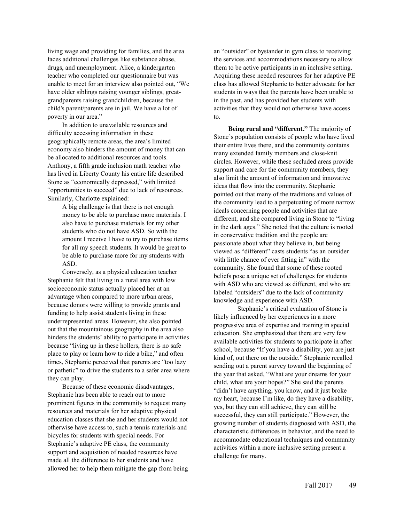living wage and providing for families, and the area faces additional challenges like substance abuse, drugs, and unemployment. Alice, a kindergarten teacher who completed our questionnaire but was unable to meet for an interview also pointed out, "We have older siblings raising younger siblings, greatgrandparents raising grandchildren, because the child's parent/parents are in jail. We have a lot of poverty in our area."

In addition to unavailable resources and difficulty accessing information in these geographically remote areas, the area's limited economy also hinders the amount of money that can be allocated to additional resources and tools. Anthony, a fifth grade inclusion math teacher who has lived in Liberty County his entire life described Stone as "economically depressed," with limited "opportunities to succeed" due to lack of resources. Similarly, Charlotte explained:

> A big challenge is that there is not enough money to be able to purchase more materials. I also have to purchase materials for my other students who do not have ASD. So with the amount I receive I have to try to purchase items for all my speech students. It would be great to be able to purchase more for my students with ASD.

Conversely, as a physical education teacher Stephanie felt that living in a rural area with low socioeconomic status actually placed her at an advantage when compared to more urban areas, because donors were willing to provide grants and funding to help assist students living in these underrepresented areas. However, she also pointed out that the mountainous geography in the area also hinders the students' ability to participate in activities because "living up in these hollers, there is no safe place to play or learn how to ride a bike," and often times, Stephanie perceived that parents are "too lazy or pathetic" to drive the students to a safer area where they can play.

Because of these economic disadvantages, Stephanie has been able to reach out to more prominent figures in the community to request many resources and materials for her adaptive physical education classes that she and her students would not otherwise have access to, such a tennis materials and bicycles for students with special needs. For Stephanie's adaptive PE class, the community support and acquisition of needed resources have made all the difference to her students and have allowed her to help them mitigate the gap from being

an "outsider" or bystander in gym class to receiving the services and accommodations necessary to allow them to be active participants in an inclusive setting. Acquiring these needed resources for her adaptive PE class has allowed Stephanie to better advocate for her students in ways that the parents have been unable to in the past, and has provided her students with activities that they would not otherwise have access to.

**Being rural and "different."** The majority of Stone's population consists of people who have lived their entire lives there, and the community contains many extended family members and close-knit circles. However, while these secluded areas provide support and care for the community members, they also limit the amount of information and innovative ideas that flow into the community. Stephanie pointed out that many of the traditions and values of the community lead to a perpetuating of more narrow ideals concerning people and activities that are different, and she compared living in Stone to "living in the dark ages." She noted that the culture is rooted in conservative tradition and the people are passionate about what they believe in, but being viewed as "different" casts students "as an outsider with little chance of ever fitting in" with the community. She found that some of these rooted beliefs pose a unique set of challenges for students with ASD who are viewed as different, and who are labeled "outsiders" due to the lack of community knowledge and experience with ASD.

Stephanie's critical evaluation of Stone is likely influenced by her experiences in a more progressive area of expertise and training in special education. She emphasized that there are very few available activities for students to participate in after school, because "If you have a disability, you are just kind of, out there on the outside." Stephanie recalled sending out a parent survey toward the beginning of the year that asked, "What are your dreams for your child, what are your hopes?" She said the parents "didn't have anything, you know, and it just broke my heart, because I'm like, do they have a disability, yes, but they can still achieve, they can still be successful, they can still participate." However, the growing number of students diagnosed with ASD, the characteristic differences in behavior, and the need to accommodate educational techniques and community activities within a more inclusive setting present a challenge for many.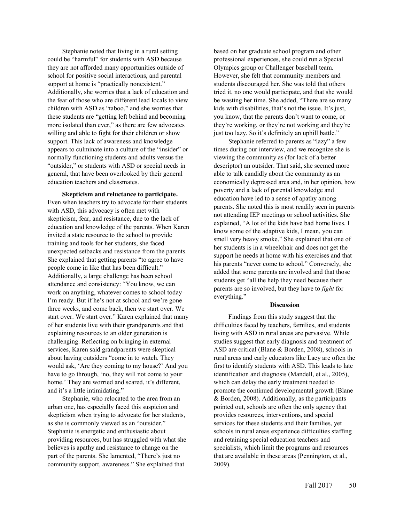Stephanie noted that living in a rural setting could be "harmful" for students with ASD because they are not afforded many opportunities outside of school for positive social interactions, and parental support at home is "practically nonexistent." Additionally, she worries that a lack of education and the fear of those who are different lead locals to view children with ASD as "taboo," and she worries that these students are "getting left behind and becoming more isolated than ever," as there are few advocates willing and able to fight for their children or show support. This lack of awareness and knowledge appears to culminate into a culture of the "insider" or normally functioning students and adults versus the "outsider," or students with ASD or special needs in general, that have been overlooked by their general education teachers and classmates.

**Skepticism and reluctance to participate.** Even when teachers try to advocate for their students with ASD, this advocacy is often met with skepticism, fear, and resistance, due to the lack of education and knowledge of the parents. When Karen invited a state resource to the school to provide training and tools for her students, she faced unexpected setbacks and resistance from the parents. She explained that getting parents "to agree to have people come in like that has been difficult." Additionally, a large challenge has been school attendance and consistency: "You know, we can work on anything, whatever comes to school today– I'm ready. But if he's not at school and we're gone three weeks, and come back, then we start over. We start over. We start over." Karen explained that many of her students live with their grandparents and that explaining resources to an older generation is challenging. Reflecting on bringing in external services, Karen said grandparents were skeptical about having outsiders "come in to watch. They would ask, 'Are they coming to my house?' And you have to go through, 'no, they will not come to your home.' They are worried and scared, it's different, and it's a little intimidating."

Stephanie, who relocated to the area from an urban one, has especially faced this suspicion and skepticism when trying to advocate for her students, as she is commonly viewed as an "outsider." Stephanie is energetic and enthusiastic about providing resources, but has struggled with what she believes is apathy and resistance to change on the part of the parents. She lamented, "There's just no community support, awareness." She explained that

based on her graduate school program and other professional experiences, she could run a Special Olympics group or Challenger baseball team. However, she felt that community members and students discouraged her. She was told that others tried it, no one would participate, and that she would be wasting her time. She added, "There are so many kids with disabilities, that's not the issue. It's just, you know, that the parents don't want to come, or they're working, or they're not working and they're just too lazy. So it's definitely an uphill battle."

Stephanie referred to parents as "lazy" a few times during our interview, and we recognize she is viewing the community as (for lack of a better descriptor) an outsider. That said, she seemed more able to talk candidly about the community as an economically depressed area and, in her opinion, how poverty and a lack of parental knowledge and education have led to a sense of apathy among parents. She noted this is most readily seen in parents not attending IEP meetings or school activities. She explained, "A lot of the kids have bad home lives. I know some of the adaptive kids, I mean, you can smell very heavy smoke." She explained that one of her students is in a wheelchair and does not get the support he needs at home with his exercises and that his parents "never come to school." Conversely, she added that some parents are involved and that those students get "all the help they need because their parents are so involved, but they have to *fight* for everything."

# **Discussion**

Findings from this study suggest that the difficulties faced by teachers, families, and students living with ASD in rural areas are pervasive. While studies suggest that early diagnosis and treatment of ASD are critical (Blane & Borden, 2008), schools in rural areas and early educators like Lacy are often the first to identify students with ASD. This leads to late identification and diagnosis (Mandell, et al., 2005), which can delay the early treatment needed to promote the continued developmental growth (Blane & Borden, 2008). Additionally, as the participants pointed out, schools are often the only agency that provides resources, interventions, and special services for these students and their families, yet schools in rural areas experience difficulties staffing and retaining special education teachers and specialists, which limit the programs and resources that are available in these areas (Pennington, et al., 2009).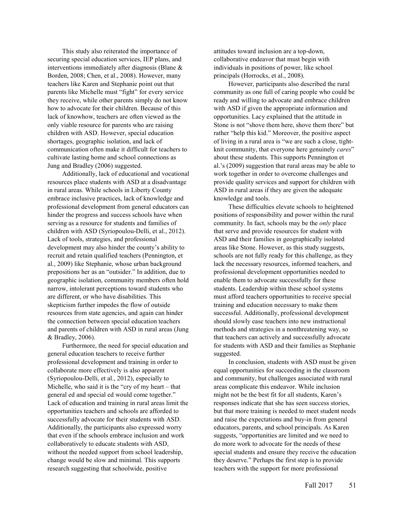This study also reiterated the importance of securing special education services, IEP plans, and interventions immediately after diagnosis (Blane & Borden, 2008; Chen, et al., 2008). However, many teachers like Karen and Stephanie point out that parents like Michelle must "fight" for every service they receive, while other parents simply do not know how to advocate for their children. Because of this lack of knowhow, teachers are often viewed as the only viable resource for parents who are raising children with ASD. However, special education shortages, geographic isolation, and lack of communication often make it difficult for teachers to cultivate lasting home and school connections as Jung and Bradley (2006) suggested.

Additionally, lack of educational and vocational resources place students with ASD at a disadvantage in rural areas. While schools in Liberty County embrace inclusive practices, lack of knowledge and professional development from general educators can hinder the progress and success schools have when serving as a resource for students and families of children with ASD (Syriopoulou-Delli, et al., 2012). Lack of tools, strategies, and professional development may also hinder the county's ability to recruit and retain qualified teachers (Pennington, et al., 2009) like Stephanie, whose urban background prepositions her as an "outsider." In addition, due to geographic isolation, community members often hold narrow, intolerant perceptions toward students who are different, or who have disabilities. This skepticism further impedes the flow of outside resources from state agencies, and again can hinder the connection between special education teachers and parents of children with ASD in rural areas (Jung & Bradley, 2006).

Furthermore, the need for special education and general education teachers to receive further professional development and training in order to collaborate more effectively is also apparent (Syriopoulou-Delli, et al., 2012), especially to Michelle, who said it is the "cry of my heart – that general ed and special ed would come together." Lack of education and training in rural areas limit the opportunities teachers and schools are afforded to successfully advocate for their students with ASD. Additionally, the participants also expressed worry that even if the schools embrace inclusion and work collaboratively to educate students with ASD, without the needed support from school leadership, change would be slow and minimal. This supports research suggesting that schoolwide, positive

attitudes toward inclusion are a top-down, collaborative endeavor that must begin with individuals in positions of power, like school principals (Horrocks, et al., 2008).

However, participants also described the rural community as one full of caring people who could be ready and willing to advocate and embrace children with ASD if given the appropriate information and opportunities. Lacy explained that the attitude in Stone is not "shove them here, shove them there" but rather "help this kid." Moreover, the positive aspect of living in a rural area is "we are such a close, tightknit community, that everyone here genuinely *cares*" about these students. This supports Pennington et al.'s (2009) suggestion that rural areas may be able to work together in order to overcome challenges and provide quality services and support for children with ASD in rural areas if they are given the adequate knowledge and tools.

These difficulties elevate schools to heightened positions of responsibility and power within the rural community. In fact, schools may be the *only* place that serve and provide resources for student with ASD and their families in geographically isolated areas like Stone. However, as this study suggests, schools are not fully ready for this challenge, as they lack the necessary resources, informed teachers, and professional development opportunities needed to enable them to advocate successfully for these students. Leadership within these school systems must afford teachers opportunities to receive special training and education necessary to make them successful. Additionally, professional development should slowly ease teachers into new instructional methods and strategies in a nonthreatening way, so that teachers can actively and successfully advocate for students with ASD and their families as Stephanie suggested.

In conclusion, students with ASD must be given equal opportunities for succeeding in the classroom and community, but challenges associated with rural areas complicate this endeavor. While inclusion might not be the best fit for all students, Karen's responses indicate that she has seen success stories, but that more training is needed to meet student needs and raise the expectations and buy-in from general educators, parents, and school principals. As Karen suggests, "opportunities are limited and we need to do more work to advocate for the needs of these special students and ensure they receive the education they deserve." Perhaps the first step is to provide teachers with the support for more professional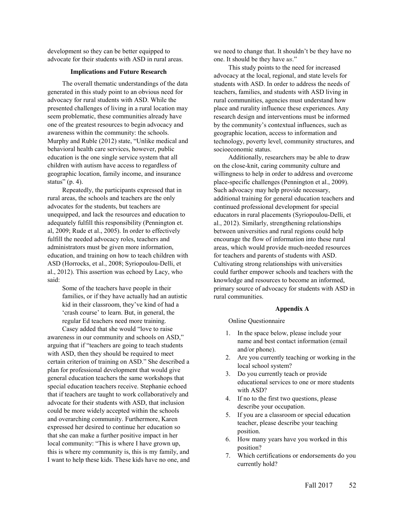development so they can be better equipped to advocate for their students with ASD in rural areas.

#### **Implications and Future Research**

The overall thematic understandings of the data generated in this study point to an obvious need for advocacy for rural students with ASD. While the presented challenges of living in a rural location may seem problematic, these communities already have one of the greatest resources to begin advocacy and awareness within the community: the schools. Murphy and Ruble (2012) state, "Unlike medical and behavioral health care services, however, public education is the one single service system that all children with autism have access to regardless of geographic location, family income, and insurance status" (p. 4).

Repeatedly, the participants expressed that in rural areas, the schools and teachers are the only advocates for the students, but teachers are unequipped, and lack the resources and education to adequately fulfill this responsibility (Pennington et. al, 2009; Rude et al., 2005). In order to effectively fulfill the needed advocacy roles, teachers and administrators must be given more information, education, and training on how to teach children with ASD (Horrocks, et al., 2008; Syriopoulou-Delli, et al., 2012). This assertion was echoed by Lacy, who said:

> Some of the teachers have people in their families, or if they have actually had an autistic kid in their classroom, they've kind of had a 'crash course' to learn. But, in general, the regular Ed teachers need more training.

Casey added that she would "love to raise awareness in our community and schools on ASD," arguing that if "teachers are going to teach students with ASD, then they should be required to meet certain criterion of training on ASD." She described a plan for professional development that would give general education teachers the same workshops that special education teachers receive. Stephanie echoed that if teachers are taught to work collaboratively and advocate for their students with ASD, that inclusion could be more widely accepted within the schools and overarching community. Furthermore, Karen expressed her desired to continue her education so that she can make a further positive impact in her local community: "This is where I have grown up, this is where my community is, this is my family, and I want to help these kids. These kids have no one, and

we need to change that. It shouldn't be they have no one. It should be they have *us*."

This study points to the need for increased advocacy at the local, regional, and state levels for students with ASD. In order to address the needs of teachers, families, and students with ASD living in rural communities, agencies must understand how place and rurality influence these experiences. Any research design and interventions must be informed by the community's contextual influences, such as geographic location, access to information and technology, poverty level, community structures, and socioeconomic status.

Additionally, researchers may be able to draw on the close-knit, caring community culture and willingness to help in order to address and overcome place-specific challenges (Pennington et al., 2009). Such advocacy may help provide necessary, additional training for general education teachers and continued professional development for special educators in rural placements (Syriopoulou-Delli, et al., 2012). Similarly, strengthening relationships between universities and rural regions could help encourage the flow of information into these rural areas, which would provide much-needed resources for teachers and parents of students with ASD. Cultivating strong relationships with universities could further empower schools and teachers with the knowledge and resources to become an informed, primary source of advocacy for students with ASD in rural communities.

#### **Appendix A**

Online Questionnaire

- 1. In the space below, please include your name and best contact information (email and/or phone).
- 2. Are you currently teaching or working in the local school system?
- 3. Do you currently teach or provide educational services to one or more students with ASD?
- 4. If no to the first two questions, please describe your occupation.
- 5. If you are a classroom or special education teacher, please describe your teaching position.
- 6. How many years have you worked in this position?
- 7. Which certifications or endorsements do you currently hold?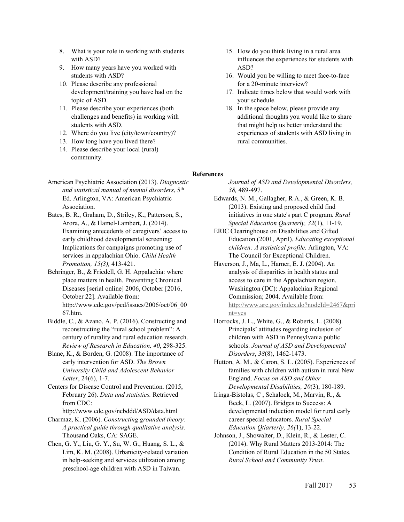- 8. What is your role in working with students with ASD?
- 9. How many years have you worked with students with ASD?
- 10. Please describe any professional development/training you have had on the topic of ASD.
- 11. Please describe your experiences (both challenges and benefits) in working with students with ASD.
- 12. Where do you live (city/town/country)?
- 13. How long have you lived there?
- 14. Please describe your local (rural) community.
- 15. How do you think living in a rural area influences the experiences for students with ASD?
- 16. Would you be willing to meet face-to-face for a 20-minute interview?
- 17. Indicate times below that would work with your schedule.
- 18. In the space below, please provide any additional thoughts you would like to share that might help us better understand the experiences of students with ASD living in rural communities.

## **References**

- American Psychiatric Association (2013). *Diagnostic and statistical manual of mental disorders*, 5th Ed. Arlington, VA: American Psychiatric Association.
- Bates, B. R., Graham, D., Striley, K., Patterson, S., Arora, A., & Hamel-Lambert, J. (2014). Examining antecedents of caregivers' access to early childhood developmental screening: Implications for campaigns promoting use of services in appalachian Ohio. *Child Health Promotion, 15(3),* 413-421.
- Behringer, B., & Friedell, G. H. Appalachia: where place matters in health. Preventing Chronical Diseases [serial online] 2006, October [2016, October 22]. Available from: http://www.cdc.gov/pcd/issues/2006/oct/06\_00 67.htm.
- Biddle, C., & Azano, A. P. (2016). Constructing and reconstructing the "rural school problem": A century of rurality and rural education research. *Review of Research in Education, 40*, 298-325.
- Blane, K., & Borden, G. (2008). The importance of early intervention for ASD. *The Brown University Child and Adolescent Behavior Letter*, 24(6), 1-7.
- Centers for Disease Control and Prevention. (2015, February 26). *Data and statistics.* Retrieved from CDC:

http://www.cdc.gov/ncbddd/ASD/data.html

- Charmaz, K. (2006). *Constructing grounded theory: A practical guide through qualitative analysis.*  Thousand Oaks, CA: SAGE.
- Chen, G. Y., Liu, G. Y., Su, W. G., Huang, S. L., & Lim, K. M. (2008). Urbanicity-related variation in help-seeking and services utilization among preschool-age children with ASD in Taiwan.

*Journal of ASD and Developmental Disorders, 38,* 489-497.

- Edwards, N. M., Gallagher, R A., & Green, K. B. (2013). Existing and proposed child find initiatives in one state's part C program. *Rural Special Education Quarterly, 32*(1), 11-19.
- ERIC Clearinghouse on Disabilities and Gifted Education (2001, April). *Educating exceptional children: A statistical profile.* Arlington, VA: The Council for Exceptional Children.
- Haverson, J., Ma, L., Harner, E. J. (2004). An analysis of disparities in health status and access to care in the Appalachian region. Washington (DC): Appalachian Regional Commission; 2004. Available from: http://www.arc.gov/index.do?nodeId=2467&pri nt=yes
- Horrocks, J. L., White, G., & Roberts, L. (2008). Principals' attitudes regarding inclusion of children with ASD in Pennsylvania public schools. *Journal of ASD and Developmental Disorders*, *38*(8), 1462-1473.
- Hutton, A. M., & Caron, S. L. (2005). Experiences of families with children with autism in rural New England. *Focus on ASD and Other Developmental Disabilities, 20*(3), 180-189.
- Iringa-Bistolas, C , Schalock, M., Marvin, R., & Beck, L. (2007). Bridges to Success: A developmental induction model for rural early career special educators. *Rural Special Education Qtiarterly, 26(*1), 13-22.
- Johnson, J., Showalter, D., Klein, R., & Lester, C. (2014). Why Rural Matters 2013-2014: The Condition of Rural Education in the 50 States. *Rural School and Community Trust*.